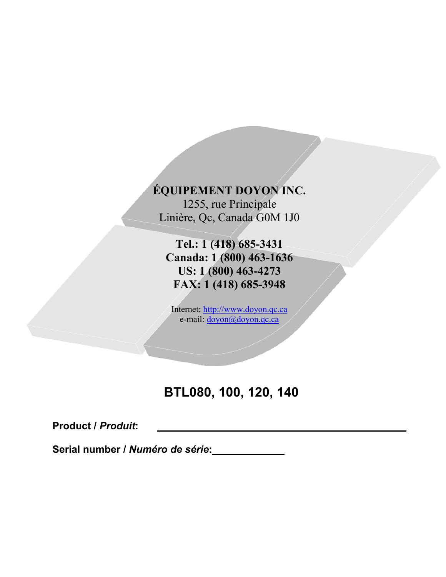**ÉQUIPEMENT DOYON INC.**

1255, rue Principale Linière, Qc, Canada G0M 1J0

**Tel.: 1 (418) 685-3431 Canada: 1 (800) 463-1636 US: 1 (800) 463-4273 FAX: 1 (418) 685-3948**

Internet: [http://www.doyon.qc.ca](http://www.doyon.qc.ca/) e-mail: <u>[doyon@doyon.qc.ca](mailto:doyon@doyon.qc.ca)</u>

# **BTL080, 100, 120, 140**

**Product /** *Produit***:**

**Serial number /** *Numéro de série***:**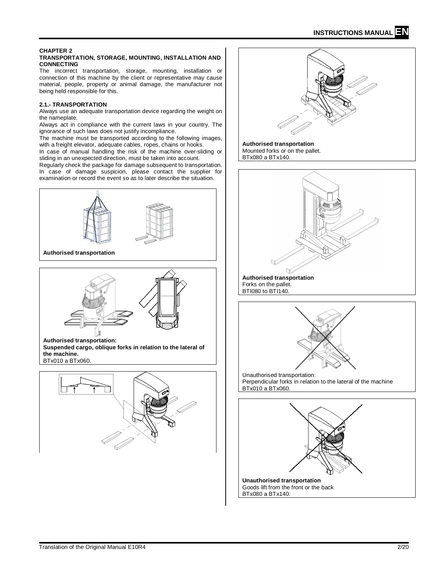#### **CHAPTER 2 TRANSPORTATION, STORAGE, MOUNTING, INSTALLATION AND CONNECTING**

The incorrect transportation, storage, mounting, installation or connection of this machine by the client or representative may cause material, people, property or animal damage, the manufacturer not being held responsible for this.

# **2.1.- TRANSPORTATION**

Always use an adequate transportation device regarding the weight on the nameplate.

Always act in compliance with the current laws in your country. The ignorance of such laws does not justify incompliance.

The machine must be transported according to the following images, with a freight elevator, adequate cables, ropes, chains or hooks.

In case of manual handling the risk of the machine over-sliding or sliding in an unexpected direction, must be taken into account.

Regularly check the package for damage subsequent to transportation. In case of damage suspicion, please contact the supplier for examination or record the event so as to later describe the situation.



**Authorised transportation**



**Authorised transportation:**

**Suspended cargo, oblique forks in relation to the lateral of the machine.**

BTx010 a BTx060.



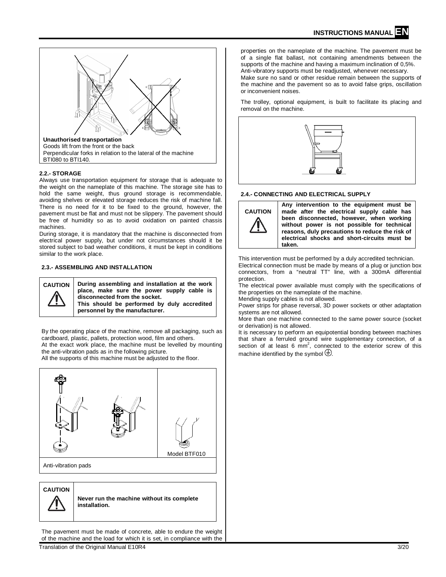

## **2.2.- STORAGE**

Always use transportation equipment for storage that is adequate to the weight on the nameplate of this machine. The storage site has to hold the same weight, thus ground storage is recommendable, avoiding shelves or elevated storage reduces the risk of machine fall. There is no need for it to be fixed to the ground, however, the pavement must be flat and must not be slippery. The pavement should be free of humidity so as to avoid oxidation on painted chassis machines.

During storage, it is mandatory that the machine is disconnected from electrical power supply, but under not circumstances should it be stored subject to bad weather conditions, it must be kept in conditions similar to the work place.

#### **2.3.- ASSEMBLING AND INSTALLATION**



**CAUTION During assembling and installation at the work place, make sure the power supply cable is disconnected from the socket. This should be performed by duly accredited personnel by the manufacturer.**

By the operating place of the machine, remove all packaging, such as cardboard, plastic, pallets, protection wood, film and others. At the exact work place, the machine must be levelled by mounting

the anti-vibration pads as in the following picture.

All the supports of this machine must be adjusted to the floor.



**CAUTION**



**Never run the machine without its complete installation.** 

The pavement must be made of concrete, able to endure the weight of the machine and the load for which it is set, in compliance with the properties on the nameplate of the machine. The pavement must be of a single flat ballast, not containing amendments between the supports of the machine and having a maximum inclination of 0,5%. Anti-vibratory supports must be readjusted, whenever necessary. Make sure no sand or other residue remain between the supports of the machine and the pavement so as to avoid false grips, oscillation or inconvenient noises.

The trolley, optional equipment, is built to facilitate its placing and removal on the machine.



#### **2.4.- CONNECTING AND ELECTRICAL SUPPLY**



**Any intervention to the equipment must be made after the electrical supply cable has been disconnected, however, when working without power is not possible for technical reasons, duly precautions to reduce the risk of electrical shocks and short-circuits must be taken.**

This intervention must be performed by a duly accredited technician.

Electrical connection must be made by means of a plug or junction box connectors, from a "neutral TT" line, with a 300mA differential protection.

The electrical power available must comply with the specifications of the properties on the nameplate of the machine.

Mending supply cables is not allowed.

Power strips for phase reversal, 3D power sockets or other adaptation systems are not allowed.

More than one machine connected to the same power source (socket or derivation) is not allowed.

It is necessary to perform an equipotential bonding between machines that share a ferruled ground wire supplementary connection, of a section of at least 6  $mm^2$ , connected to the exterior screw of this machine identified by the symbol  $\bigoplus$ .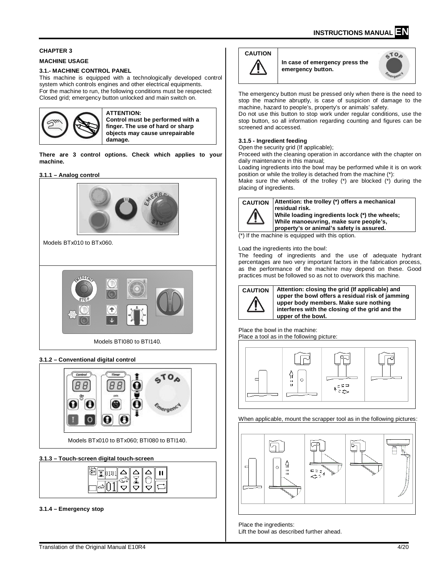# **CHAPTER 3**

#### **MACHINE USAGE**

## **3.1.- MACHINE CONTROL PANEL**

This machine is equipped with a technologically developed control system which controls engines and other electrical equipments. For the machine to run, the following conditions must be respected: Closed grid; emergency button unlocked and main switch on.



#### **ATTENTION: Control must be performed with a finger. The use of hard or sharp objects may cause unrepairable damage.**

**There are 3 control options. Check which applies to your machine.**

#### **3.1.1 – Analog control**



# **3.1.2 – Conventional digital control**



# **3.1.3 – Touch-screen digital touch-screen**

# **3.1.4 – Emergency stop**

# **CAUTION**

**In case of emergency press the emergency button.** 



The emergency button must be pressed only when there is the need to stop the machine abruptly, is case of suspicion of damage to the machine, hazard to people's, property's or animals' safety.

Do not use this button to stop work under regular conditions, use the stop button, so all information regarding counting and figures can be screened and accessed.

#### **3.1.5 - Ingredient feeding**

Open the security grid (If applicable);

Proceed with the cleaning operation in accordance with the chapter on daily maintenance in this manual;

Loading ingredients into the bowl may be performed while it is on work position or while the trolley is detached from the machine (\*):

Make sure the wheels of the trolley  $(*)$  are blocked  $(*)$  during the placing of ingredients.

**CAUTION Attention: the trolley (\*) offers a mechanical residual risk. While loading ingredients lock (\*) the wheels; While manoeuvring, make sure people's, property's or animal's safety is assured.** 

(\*) If the machine is equipped with this option.

Load the ingredients into the bowl:

The feeding of ingredients and the use of adequate hydrant percentages are two very important factors in the fabrication process, as the performance of the machine may depend on these. Good practices must be followed so as not to overwork this machine.



**CAUTION Attention: closing the grid (If applicable) and upper the bowl offers a residual risk of jamming upper body members. Make sure nothing interferes with the closing of the grid and the upper of the bowl.**

Place the bowl in the machine: Place a tool as in the following picture:



#### When applicable, mount the scrapper tool as in the following pictures:



Place the ingredients: Lift the bowl as described further ahead.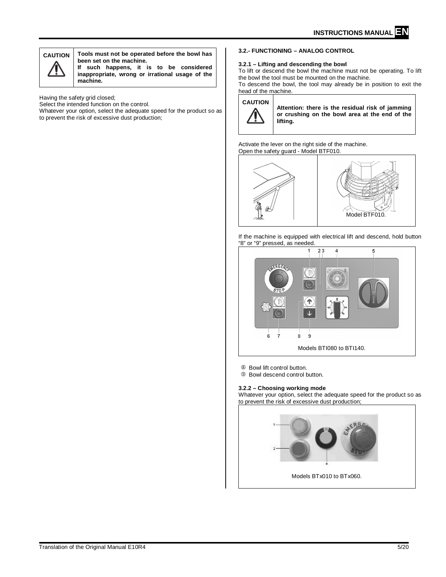

**CAUTION Tools must not be operated before the bowl has been set on the machine. If such happens, it is to be considered** 

**inappropriate, wrong or irrational usage of the machine.**

Having the safety grid closed;

Select the intended function on the control.

Whatever your option, select the adequate speed for the product so as to prevent the risk of excessive dust production;

# **3.2.- FUNCTIONING – ANALOG CONTROL**

#### **3.2.1 – Lifting and descending the bowl**

To lift or descend the bowl the machine must not be operating. To lift the bowl the tool must be mounted on the machine.

To descend the bowl, the tool may already be in position to exit the head of the machine.

#### **CAUTION**



**Attention: there is the residual risk of jamming or crushing on the bowl area at the end of the lifting.**

Activate the lever on the right side of the machine. Open the safety guard - Model BTF010.



If the machine is equipped with electrical lift and descend, hold button "8" or "9" pressed, as needed.



<sup>8</sup> Bowl lift control button.

 $@$  Bowl descend control button.

**3.2.2 – Choosing working mode**

Whatever your option, select the adequate speed for the product so as to prevent the risk of excessive dust production;

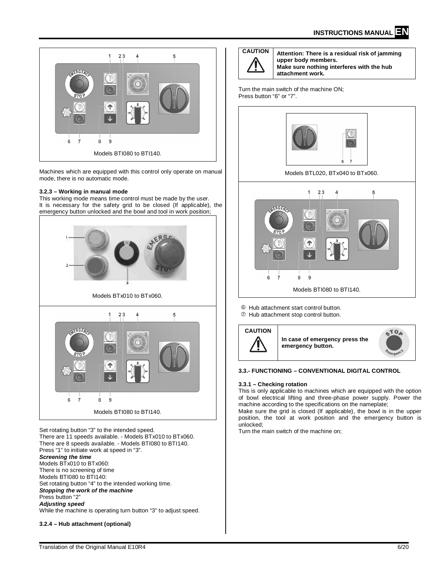

Machines which are equipped with this control only operate on manual mode, there is no automatic mode.

#### **3.2.3 – Working in manual mode**

This working mode means time control must be made by the user. It is necessary for the safety grid to be closed (If applicable), the emergency button unlocked and the bowl and tool in work position;



Set rotating button "3" to the intended speed. There are 11 speeds available. - Models BTx010 to BTx060. There are 8 speeds available. - Models BTI080 to BTI140. Press "1" to initiate work at speed in "3". *Screening the time* Models BTx010 to BTx060: There is no screening of time Models BTI080 to BTI140: Set rotating button "4" to the intended working time. *Stopping the work of the machine* Press button "2" *Adjusting speed* While the machine is operating turn button "3" to adjust speed.

# **3.2.4 – Hub attachment (optional)**



**CAUTION Attention: There is a residual risk of jamming upper body members. Make sure nothing interferes with the hub attachment work.**

Turn the main switch of the machine ON; Press button "6" or "7".



 $@$  Hub attachment start control button.

Hub attachment stop control button.



#### **3.3.- FUNCTIONING – CONVENTIONAL DIGITAL CONTROL**

#### **3.3.1 – Checking rotation**

This is only applicable to machines which are equipped with the option of bowl electrical lifting and three-phase power supply. Power the machine according to the specifications on the nameplate;

Make sure the grid is closed (If applicable), the bowl is in the upper position, the tool at work position and the emergency button is unlocked;

Turn the main switch of the machine on;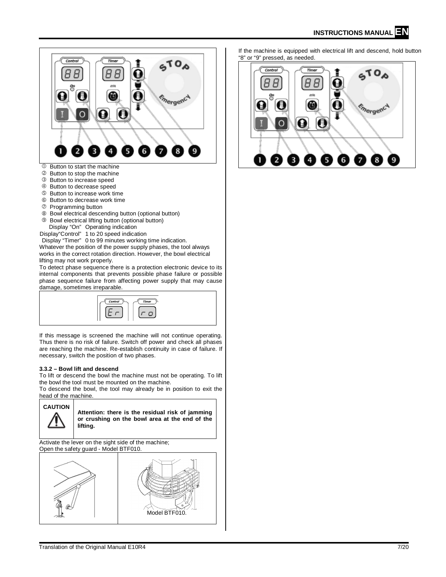

- Button to decrease speed
- 
- **S** Button to increase work time **6** Button to decrease work time
- 
- Programming button
- <sup>®</sup> Bowl electrical descending button (optional button)  $@$  Bowl electrical lifting button (optional button) Display "On" Operating indication
- Display"Control" 1 to 20 speed indication
- Display "Timer" 0 to 99 minutes working time indication.

Whatever the position of the power supply phases, the tool always works in the correct rotation direction. However, the bowl electrical lifting may not work properly.

To detect phase sequence there is a protection electronic device to its internal components that prevents possible phase failure or possible phase sequence failure from affecting power supply that may cause damage, sometimes irreparable.



If this message is screened the machine will not continue operating. Thus there is no risk of failure. Switch off power and check all phases are reaching the machine. Re-establish continuity in case of failure. If necessary, switch the position of two phases.

#### **3.3.2 – Bowl lift and descend**

To lift or descend the bowl the machine must not be operating. To lift the bowl the tool must be mounted on the machine.

To descend the bowl, the tool may already be in position to exit the head of the machine.

#### **CAUTION**

**Attention: there is the residual risk of jamming or crushing on the bowl area at the end of the lifting.**

Activate the lever on the sight side of the machine; Open the safety guard - Model BTF010.



If the machine is equipped with electrical lift and descend, hold button "8" or "9" pressed, as needed.

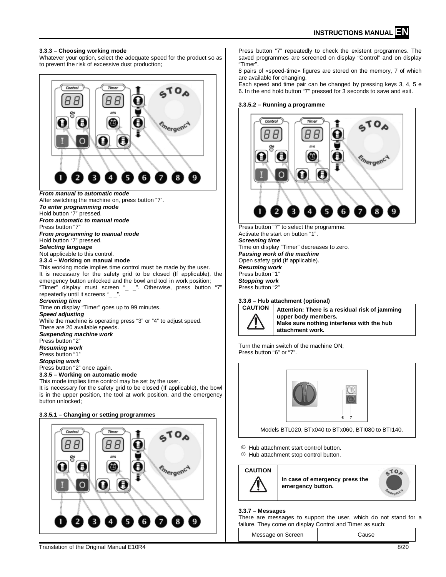#### **3.3.3 – Choosing working mode**

Whatever your option, select the adequate speed for the product so as to prevent the risk of excessive dust production;



**3.3.5.1 – Changing or setting programmes**



Press button "7" repeatedly to check the existent programmes. The saved programmes are screened on display "Control" and on display "Timer".

8 pairs of «speed-time» figures are stored on the memory, 7 of which are available for changing.

Each speed and time pair can be changed by pressing keys 3, 4, 5 e 6. In the end hold button "7" pressed for 3 seconds to save and exit.

#### **3.3.5.2 – Running a programme**



Press button "7" to select the programme. Activate the start on button "1". *Screening time* Time on display "Timer" decreases to zero. *Pausing work of the machine* Open safety grid (If applicable). *Resuming work* Press button "1" *Stopping work* Press button "2"

# **3.3.6 – Hub attachment (optional)**



Attention: There is a residual risk of jamming **upper body members. Make sure nothing interferes with the hub attachment work.**

Turn the main switch of the machine ON; Press button "6" or "7".



Models BTL020, BTx040 to BTx060, BTI080 to BTI140.

- Hub attachment start control button.
- Hub attachment stop control button.



**In case of emergency press the emergency button.** 



#### **3.3.7 – Messages**

There are messages to support the user, which do not stand for a failure. They come on display Control and Timer as such:

Message on Screen | Cause

Translation of the Original Manual E10R4 8/20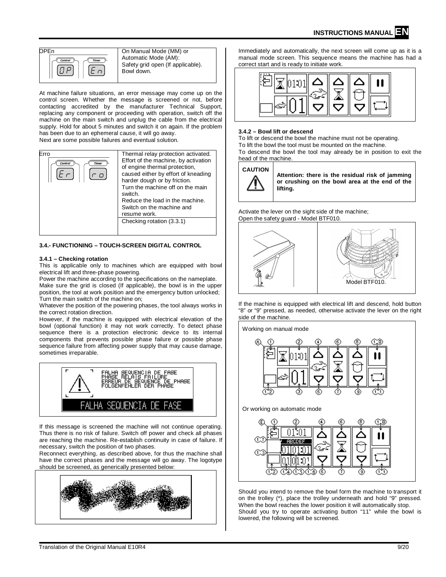

Automatic Mode (AM): Safety grid open (If applicable). Bowl down.

At machine failure situations, an error message may come up on the control screen. Whether the message is screened or not, before contacting accredited by the manufacturer Technical Support, replacing any component or proceeding with operation, switch off the machine on the main switch and unplug the cable from the electrical supply. Hold for about 5 minutes and switch it on again. If the problem has been due to an ephemeral cause, it will go away. Next are some possible failures and eventual solution.

| Frro<br>Control<br>Timer | Thermal relay protection activated.<br>Effort of the machine, by activation<br>of engine thermal protection,<br>caused either by effort of kneading<br>harder dough or by friction.<br>Turn the machine off on the main<br>switch.<br>Reduce the load in the machine. |
|--------------------------|-----------------------------------------------------------------------------------------------------------------------------------------------------------------------------------------------------------------------------------------------------------------------|
|                          | Switch on the machine and<br>resume work.                                                                                                                                                                                                                             |
|                          | Checking rotation (3.3.1)                                                                                                                                                                                                                                             |

## **3.4.- FUNCTIONING – TOUCH-SCREEN DIGITAL CONTROL**

#### **3.4.1 – Checking rotation**

This is applicable only to machines which are equipped with bowl electrical lift and three-phase powering.

Power the machine according to the specifications on the nameplate. Make sure the grid is closed (If applicable), the bowl is in the upper position, the tool at work position and the emergency button unlocked; Turn the main switch of the machine on;

Whatever the position of the powering phases, the tool always works in the correct rotation direction.

However, if the machine is equipped with electrical elevation of the bowl (optional function) it may not work correctly. To detect phase sequence there is a protection electronic device to its internal components that prevents possible phase failure or possible phase sequence failure from affecting power supply that may cause damage, sometimes irreparable.



If this message is screened the machine will not continue operating. Thus there is no risk of failure. Switch off power and check all phases are reaching the machine. Re-establish continuity in case of failure. If necessary, switch the position of two phases.

Reconnect everything, as described above, for thus the machine shall have the correct phases and the message will go away. The logotype should be screened, as generically presented below:



Immediately and automatically, the next screen will come up as it is a manual mode screen. This sequence means the machine has had a correct start and is ready to initiate work.



#### **3.4.2 – Bowl lift or descend**

To lift or descend the bowl the machine must not be operating. To lift the bowl the tool must be mounted on the machine. To descend the bowl the tool may already be in position to exit the head of the machine.

**CAUTION**

**Attention: there is the residual risk of jamming or crushing on the bowl area at the end of the lifting.**

Activate the lever on the sight side of the machine; Open the safety guard - Model BTF010.



If the machine is equipped with electrical lift and descend, hold button "8" or "9" pressed, as needed, otherwise activate the lever on the right side of the machine.



Should you intend to remove the bowl form the machine to transport it on the trolley (\*), place the trolley underneath and hold "9" pressed. When the bowl reaches the lower position it will automatically stop. Should you try to operate activating button "11" while the bowl is lowered, the following will be screened.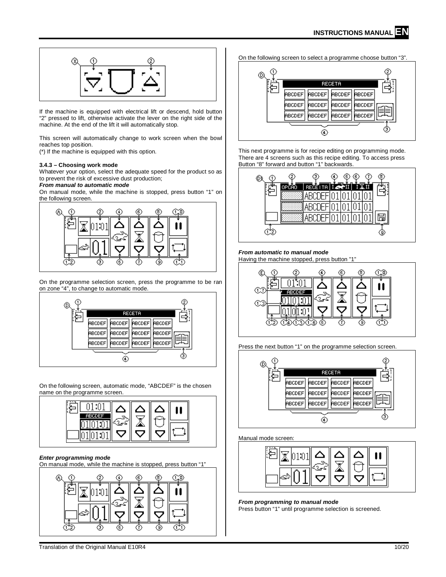

If the machine is equipped with electrical lift or descend, hold button "2" pressed to lift, otherwise activate the lever on the right side of the machine. At the end of the lift it will automatically stop.

This screen will automatically change to work screen when the bowl reaches top position.

(\*) If the machine is equipped with this option.

## **3.4.3 – Choosing work mode**

Whatever your option, select the adequate speed for the product so as to prevent the risk of excessive dust production;

# *From manual to automatic mode*

On manual mode, while the machine is stopped, press button "1" on the following screen.



On the programme selection screen, press the programme to be ran on zone "4", to change to automatic mode.



On the following screen, automatic mode, "ABCDEF" is the chosen name on the programme screen.



#### *Enter programming mode*

On manual mode, while the machine is stopped, press button "1"



On the following screen to select a programme choose button "3".



This next programme is for recipe editing on programming mode. There are 4 screens such as this recipe editing. To access press Button "8" forward and button "1" backwards.



## *From automatic to manual mode*

Having the machine stopped, press button "1"



Press the next button "1" on the programme selection screen.



# Manual mode screen:



# *From programming to manual mode*

Press button "1" until programme selection is screened.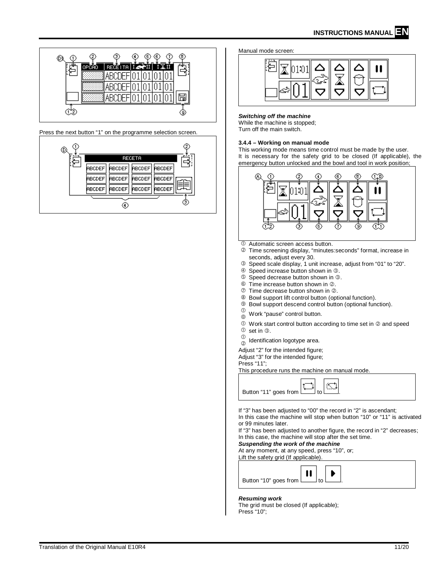

Press the next button "1" on the programme selection screen.



#### Manual mode screen:



# *Switching off the machine*

While the machine is stopped; Turn off the main switch.

## **3.4.4 – Working on manual mode**

This working mode means time control must be made by the user. It is necessary for the safety grid to be closed (If applicable), the emergency button unlocked and the bowl and tool in work position;



Automatic screen access button.

- Time screening display, "minutes:seconds" format, increase in seconds, adjust every 30.
- Speed scale display, 1 unit increase, adjust from "01" to "20".
- **① Speed increase button shown in ②.**<br>5. Speed decrease button shown in 3.
- Speed decrease button shown in 3.
- $\circledcirc$  Time increase button shown in  $\circledcirc$ .
- $\oslash$  Time decrease button shown in  $\oslash$ .
- Bowl support lift control button (optional function).
- $\circledast$  Bowl support descend control button (optional function).
- $\circled{0}$  $^\circledR$ Work "pause" control button.
- $\mathbb O$  Work start control button according to time set in  $\mathbb O$  and speed
- $\mathbb O$  set in  $\mathbb O$ .
- $\circledcirc$  $(2)$ Identification logotype area.

Adjust "2" for the intended figure: Adjust "3" for the intended figure;

Press "11";

This procedure runs the machine on manual mode.



If "3" has been adjusted to "00" the record in "2" is ascendant; In this case the machine will stop when button "10" or "11" is activated

or 99 minutes later. If "3" has been adjusted to another figure, the record in "2" decreases;

In this case, the machine will stop after the set time. *Suspending the work of the machine* 

At any moment, at any speed, press "10", or;

Lift the safety grid (If applicable).



#### *Resuming work*

The grid must be closed (If applicable); Press "10";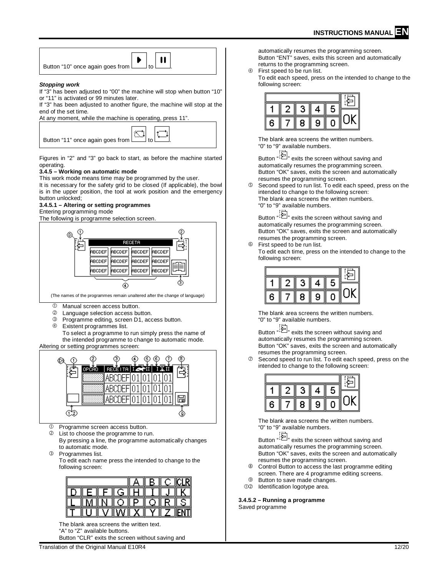| Button "10" once again goes from $\begin{array}{ c c c }\n\hline\n\end{array}$ button "10" once again goes from $\begin{array}{ c c }\n\hline\n\end{array}$ |  |  |
|-------------------------------------------------------------------------------------------------------------------------------------------------------------|--|--|
|-------------------------------------------------------------------------------------------------------------------------------------------------------------|--|--|

#### *Stopping work*

If "3" has been adjusted to "00" the machine will stop when button "10" or "11" is activated or 99 minutes later.

If "3" has been adjusted to another figure, the machine will stop at the end of the set time.

At any moment, while the machine is operating, press 11".

Figures in "2" and "3" go back to start, as before the machine started operating.

## **3.4.5 – Working on automatic mode**

This work mode means time may be programmed by the user.

It is necessary for the safety grid to be closed (If applicable), the bowl is in the upper position, the tool at work position and the emergency button unlocked;

# **3.4.5.1 – Altering or setting programmes**

Entering programming mode The following is programme selection screen.



(The names of the programmes remain unaltered after the change of language)

- $\oslash$  Manual screen access button.
- 
- 2 Language selection access button.<br>3 Programme editing screen D1 acc **3** Programme editing, screen D1, access button.<br>**4** Existent programmes list
- Existent programmes list.

To select a programme to run simply press the name of the intended programme to change to automatic mode.

Altering or setting programmes screen:



Programme screen access button.

List to choose the programme to run.

By pressing a line, the programme automatically changes to automatic mode.

Programmes list.

To edit each name press the intended to change to the following screen:

|  |        |     |   |     | CLRI    |
|--|--------|-----|---|-----|---------|
|  | Ш      | Ш   | Ш |     |         |
|  | ⊪      |     | ⊪ |     |         |
|  | Ш<br>M | ∥X∥ | v | ⊪ 7 | ⊓<br>NI |

The blank area screens the written text. "A" to "Z" available buttons. Button "CLR" exits the screen without saving and

Translation of the Original Manual E10R4 12/20 12:00 12:00 12:00 12:00 12:00 12:00 12:00 12:00 12:00 12:00 12:00 12:00 12:00 12:00 12:00 12:00 12:00 12:00 12:00 12:00 12:00 12:00 12:00 12:00 12:00 12:00 12:00 12:00 12:00 1

automatically resumes the programming screen. Button "ENT" saves, exits this screen and automatically returns to the programming screen.

First speed to be run list.

To edit each speed, press on the intended to change to the following screen:



The blank area screens the written numbers. "0" to "9" available numbers.

Button " exits the screen without saving and automatically resumes the programming screen. Button "OK" saves, exits the screen and automatically resumes the programming screen.

Second speed to run list. To edit each speed, press on the intended to change to the following screen: The blank area screens the written numbers. "0" to "9" available numbers.

Button "
<sup>"</sup> exits the screen without saving and automatically resumes the programming screen. Button "OK" saves, exits the screen and automatically resumes the programming screen.

First speed to be run list.

To edit each time, press on the intended to change to the following screen:

|   | 3 | 4 | 5 |  |
|---|---|---|---|--|
| 6 | 8 | 9 |   |  |

The blank area screens the written numbers. "0" to "9" available numbers.

Button "  $\sum_{i=1}^{\infty}$ " exits the screen without saving and automatically resumes the programming screen. Button "OK" saves, exits the screen and automatically resumes the programming screen.

 $\oslash$  Second speed to run list. To edit each speed, press on the intended to change to the following screen:



The blank area screens the written numbers. "0" to "9" available numbers.

Button "  $\leftarrow$  " exits the screen without saving and automatically resumes the programming screen. Button "OK" saves, exits the screen and automatically resumes the programming screen.

- Control Button to access the last programme editing screen. There are 4 programme editing screens.
- **9** Button to save made changes.
- 02 Identification logotype area.

**3.4.5.2 – Running a programme** Saved programme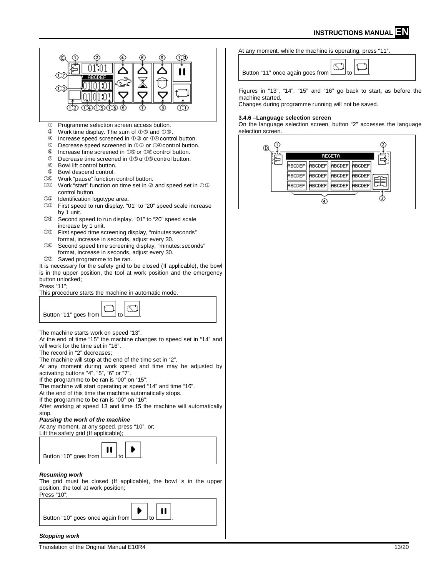

#### *Stopping work*

At any moment, while the machine is operating, press "11".

Button "11" once again goes from

Figures in "13", "14", "15" and "16" go back to start, as before the

Changes during programme running will not be saved.

#### **3.4.6 –Language selection screen**

On the language selection screen, button "2" accesses the language

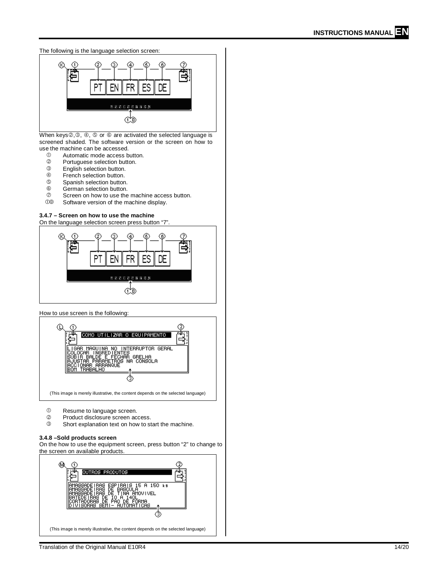

When keys $(2, 3, 4)$ ,  $(5)$  or  $(6)$  are activated the selected language is screened shaded. The software version or the screen on how to use the machine can be accessed.<br>  $\n <sup>①</sup>\n <sup>1</sup>$ utomatic mode access b

- <sup>①</sup> Automatic mode access button.<br>② Portuguese selection button.
- 2 Portuguese selection button.<br>3 English selection button.
- **3** English selection button.<br>**4** French selection button.
- <sup>4</sup> French selection button.<br> **S** Spanish selection button
- **S** Spanish selection button.<br> **C** German selection button.
- $\circ$  German selection button.<br> $\circ$  Screen on how to use the
- $\heartsuit$  Screen on how to use the machine access button.<br> $\heartsuit$  Software version of the machine display.
- Software version of the machine display.

# **3.4.7 – Screen on how to use the machine**

On the language selection screen press button "7".



#### How to use screen is the following:



- <sup>1</sup> Resume to language screen.<br><sup>2</sup> Product disclosure screen ac
- 2 Product disclosure screen access.<br>3 Short explanation text on how to st
- Short explanation text on how to start the machine.

#### **3.4.8 –Sold products screen**

On the how to use the equipment screen, press button "2" to change to the screen on available products.

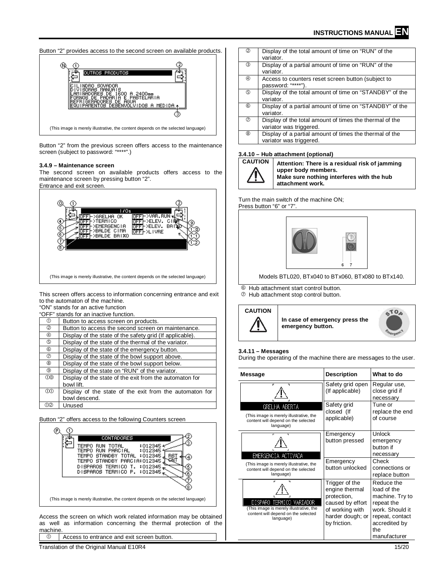

Button "2" from the previous screen offers access to the maintenance screen (subject to password: "\*\*\*\*".)

#### **3.4.9 – Maintenance screen**

The second screen on available products offers access to the maintenance screen by pressing button "2". Entrance and exit screen.



This screen offers access to information concerning entrance and exit to the automaton of the machine.

"ON" stands for an active function

|           | "OFF" stands for an inactive function.                   |
|-----------|----------------------------------------------------------|
| ⋒         | Button to access screen on products.                     |
| 2         | Button to access the second screen on maintenance.       |
| 4         | Display of the state of the safety grid (If applicable). |
| ග         | Display of the state of the thermal of the variator.     |
| 6         | Display of the state of the emergency button.            |
| の         | Display of the state of the bowl support above.          |
| ⑧         | Display of the state of the bowl support below.          |
| ◎         | Display of the state on "RUN" of the variator.           |
| <b>00</b> | Display of the state of the exit from the automaton for  |
|           | bowl lift.                                               |
| ന്ന       | Display of the state of the exit from the automaton for  |
|           | bowl descend.                                            |
| 1)(2)     | Unused                                                   |

Button "2" offers access to the following Counters screen



as well as information concerning the thermal protection of the machine

Access to entrance and exit screen button.

Translation of the Original Manual E10R4 15/20 15 15/20

| $\circled{2}$ | Display of the total amount of time on "RUN" of the<br>variator.                   |
|---------------|------------------------------------------------------------------------------------|
| $\circled{3}$ | Display of a partial amount of time on "RUN" of the<br>variator.                   |
| 4             | Access to counters reset screen button (subject to<br>password: "****")            |
| $\circledS$   | Display of the total amount of time on "STANDBY" of the<br>variator.               |
| $\circledS$   | Display of a partial amount of time on "STANDBY" of the<br>variator.               |
| $\circledD$   | Display of the total amount of times the thermal of the<br>variator was triggered. |
| (8)           | Display of a partial amount of times the thermal of the<br>variator was triggered. |

## **3.4.10 – Hub attachment (optional)**



**CAUTION Attention: There is a residual risk of jamming upper body members. Make sure nothing interferes with the hub attachment work.**

Turn the main switch of the machine ON; Press button "6" or "7".



Models BTL020, BTx040 to BTx060, BTx080 to BTx140.

- Hub attachment start control button.
- Hub attachment stop control button.



#### **3.4.11 – Messages**

During the operating of the machine there are messages to the user.

| Message                                                                                                                 | <b>Description</b>                                                                                                         | What to do                                                                                                                               |
|-------------------------------------------------------------------------------------------------------------------------|----------------------------------------------------------------------------------------------------------------------------|------------------------------------------------------------------------------------------------------------------------------------------|
| F<br>7                                                                                                                  | Safety grid open<br>(If applicable)                                                                                        | Regular use,<br>close grid if<br>necessary                                                                                               |
| <b>GRELHA ABERTA</b><br>(This image is merely illustrative, the<br>content will depend on the selected<br>language)     | Safety grid<br>closed (If<br>applicable)                                                                                   | Tune or<br>replace the end<br>of course                                                                                                  |
| EMERGENCIA ACTIVADA                                                                                                     | Emergency<br>button pressed                                                                                                | Unlock<br>emergency<br>button if<br>necessary                                                                                            |
| (This image is merely illustrative, the<br>content will depend on the selected<br>language)                             | Emergency<br>button unlocked                                                                                               | Check<br>connections or<br>replace button                                                                                                |
| DISPARO TERMICO VARIADOR<br>(This image is merely illustrative, the<br>content will depend on the selected<br>language) | Trigger of the<br>engine thermal<br>protection,<br>caused by effort<br>of working with<br>harder dough; or<br>by friction. | Reduce the<br>load of the<br>machine. Try to<br>repeat the<br>work. Should it<br>repeat, contact<br>accredited by<br>the<br>manufacturer |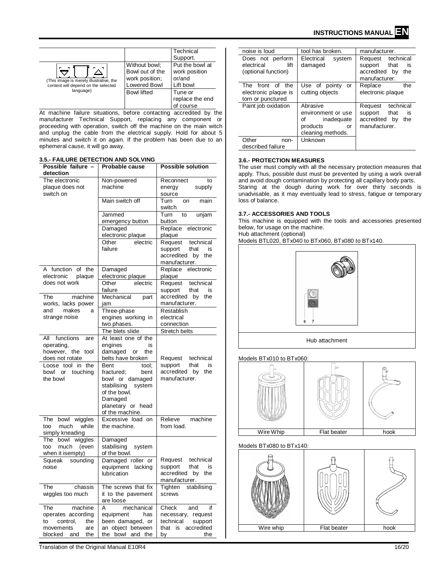| (This image is merely illustrative, the<br>content will depend on the selected | Without bowl;<br>Bowl out of the<br>work position;<br><b>Lowered Bowl</b> | Technical<br>Support.<br>Put the bowl at<br>work position<br>or/and<br>Lift bowl |
|--------------------------------------------------------------------------------|---------------------------------------------------------------------------|----------------------------------------------------------------------------------|
| language)                                                                      | <b>Bowl lifted</b>                                                        | Tune or                                                                          |
|                                                                                |                                                                           | replace the end                                                                  |
|                                                                                |                                                                           | of course                                                                        |

At machine failure situations, before contacting accredited by the manufacturer Technical Support, replacing any component or proceeding with operation, switch off the machine on the main witch and unplug the cable from the electrical supply. Hold for about 5 minutes and switch it on again. If the problem has been due to an ephemeral cause, it will go away.

#### **3.5.- FAILURE DETECTION AND SOLVING**

| detection<br>The electronic<br>Non-powered<br>Reconnect<br>to<br>machine<br>plaque does not<br>energy<br>supply<br>switch on<br>source<br>Main switch off<br>Turn<br>on<br>main<br>switch<br>Turn<br>Jammed<br>to<br>unjam<br>button<br>emergency button<br>Damaged<br>Replace<br>electronic<br>electronic plaque<br>plaque<br>Other<br>electric<br>Request<br>technical<br>failure<br>support<br>that<br>is<br>accredited<br>by<br>the<br>manufacturer.<br>A function<br>of the<br>Damaged<br>Replace electronic<br>electronic plaque<br>electronic<br>plaque<br>plaque<br>does not work<br>Other<br>electric<br>Request<br>technical<br>failure<br>support<br>that<br>is<br>The<br>machine<br>Mechanical<br>accredited<br>the<br>part<br>by<br>manufacturer.<br>works, lacks power<br>jam<br>makes<br>Three-phase<br>Restablish<br>and<br>a<br>strange noise<br>engines working in<br>electrical<br>two phases.<br>connection<br>The blets slide<br>Stretch belts<br>All<br>functions<br>At least one of the<br>are<br>operating,<br>engines<br>is<br>however, the tool<br>damaged or<br>the<br>does not rotate<br>belts have broken<br>Request technical<br>Loose tool in the<br>Bent<br>tool;<br>support<br>that<br>is<br>accredited<br>by<br>the<br>bowl or<br>touching<br>fractured;<br>bent<br>manufacturer.<br>the bowl<br>bowl or damaged<br>stabilising<br>system<br>of the bowl.<br>Damaged<br>planetary or head<br>of the machine.<br>Excessive load on<br>Relieve<br>The bowl wiggles<br>machine<br>from load.<br>much<br>while<br>the machine.<br>too<br>simply kneading<br>The bowl wiggles<br>Damaged<br>much<br>stabilising<br>system<br>too<br>(even<br>when it isempty)<br>of the bowl.<br>Request<br>Squeak<br>Damaged roller or<br>technical<br>sounding<br>support<br>that<br>is<br>noise<br>equipment lacking<br>accredited<br>lubrication<br>by<br>the<br>manufacturer.<br>The<br>The screws that fix<br>chassis<br>Tighten<br>stabilising<br>wiggles too much<br>it to the pavement<br>screws<br>are loose<br>A<br>The<br>machine<br>mechanical<br>Check<br>if<br>and<br>operates according<br>equipment<br>has<br>necessary, request<br>been damaged, or<br>control,<br>the<br>technical<br>support<br>to<br>an object between<br>movements<br>are<br>that is accredited<br>blocked and<br>the bowl and the<br>the<br>by<br>the | Possible failure - |                | <b>Possible solution</b> |
|-----------------------------------------------------------------------------------------------------------------------------------------------------------------------------------------------------------------------------------------------------------------------------------------------------------------------------------------------------------------------------------------------------------------------------------------------------------------------------------------------------------------------------------------------------------------------------------------------------------------------------------------------------------------------------------------------------------------------------------------------------------------------------------------------------------------------------------------------------------------------------------------------------------------------------------------------------------------------------------------------------------------------------------------------------------------------------------------------------------------------------------------------------------------------------------------------------------------------------------------------------------------------------------------------------------------------------------------------------------------------------------------------------------------------------------------------------------------------------------------------------------------------------------------------------------------------------------------------------------------------------------------------------------------------------------------------------------------------------------------------------------------------------------------------------------------------------------------------------------------------------------------------------------------------------------------------------------------------------------------------------------------------------------------------------------------------------------------------------------------------------------------------------------------------------------------------------------------------------------------------------------------------------------------------------------------------------------------------------------|--------------------|----------------|--------------------------|
|                                                                                                                                                                                                                                                                                                                                                                                                                                                                                                                                                                                                                                                                                                                                                                                                                                                                                                                                                                                                                                                                                                                                                                                                                                                                                                                                                                                                                                                                                                                                                                                                                                                                                                                                                                                                                                                                                                                                                                                                                                                                                                                                                                                                                                                                                                                                                           |                    | Probable cause |                          |
|                                                                                                                                                                                                                                                                                                                                                                                                                                                                                                                                                                                                                                                                                                                                                                                                                                                                                                                                                                                                                                                                                                                                                                                                                                                                                                                                                                                                                                                                                                                                                                                                                                                                                                                                                                                                                                                                                                                                                                                                                                                                                                                                                                                                                                                                                                                                                           |                    |                |                          |
|                                                                                                                                                                                                                                                                                                                                                                                                                                                                                                                                                                                                                                                                                                                                                                                                                                                                                                                                                                                                                                                                                                                                                                                                                                                                                                                                                                                                                                                                                                                                                                                                                                                                                                                                                                                                                                                                                                                                                                                                                                                                                                                                                                                                                                                                                                                                                           |                    |                |                          |
|                                                                                                                                                                                                                                                                                                                                                                                                                                                                                                                                                                                                                                                                                                                                                                                                                                                                                                                                                                                                                                                                                                                                                                                                                                                                                                                                                                                                                                                                                                                                                                                                                                                                                                                                                                                                                                                                                                                                                                                                                                                                                                                                                                                                                                                                                                                                                           |                    |                |                          |
|                                                                                                                                                                                                                                                                                                                                                                                                                                                                                                                                                                                                                                                                                                                                                                                                                                                                                                                                                                                                                                                                                                                                                                                                                                                                                                                                                                                                                                                                                                                                                                                                                                                                                                                                                                                                                                                                                                                                                                                                                                                                                                                                                                                                                                                                                                                                                           |                    |                |                          |
|                                                                                                                                                                                                                                                                                                                                                                                                                                                                                                                                                                                                                                                                                                                                                                                                                                                                                                                                                                                                                                                                                                                                                                                                                                                                                                                                                                                                                                                                                                                                                                                                                                                                                                                                                                                                                                                                                                                                                                                                                                                                                                                                                                                                                                                                                                                                                           |                    |                |                          |
|                                                                                                                                                                                                                                                                                                                                                                                                                                                                                                                                                                                                                                                                                                                                                                                                                                                                                                                                                                                                                                                                                                                                                                                                                                                                                                                                                                                                                                                                                                                                                                                                                                                                                                                                                                                                                                                                                                                                                                                                                                                                                                                                                                                                                                                                                                                                                           |                    |                |                          |
|                                                                                                                                                                                                                                                                                                                                                                                                                                                                                                                                                                                                                                                                                                                                                                                                                                                                                                                                                                                                                                                                                                                                                                                                                                                                                                                                                                                                                                                                                                                                                                                                                                                                                                                                                                                                                                                                                                                                                                                                                                                                                                                                                                                                                                                                                                                                                           |                    |                |                          |
|                                                                                                                                                                                                                                                                                                                                                                                                                                                                                                                                                                                                                                                                                                                                                                                                                                                                                                                                                                                                                                                                                                                                                                                                                                                                                                                                                                                                                                                                                                                                                                                                                                                                                                                                                                                                                                                                                                                                                                                                                                                                                                                                                                                                                                                                                                                                                           |                    |                |                          |
|                                                                                                                                                                                                                                                                                                                                                                                                                                                                                                                                                                                                                                                                                                                                                                                                                                                                                                                                                                                                                                                                                                                                                                                                                                                                                                                                                                                                                                                                                                                                                                                                                                                                                                                                                                                                                                                                                                                                                                                                                                                                                                                                                                                                                                                                                                                                                           |                    |                |                          |
|                                                                                                                                                                                                                                                                                                                                                                                                                                                                                                                                                                                                                                                                                                                                                                                                                                                                                                                                                                                                                                                                                                                                                                                                                                                                                                                                                                                                                                                                                                                                                                                                                                                                                                                                                                                                                                                                                                                                                                                                                                                                                                                                                                                                                                                                                                                                                           |                    |                |                          |
|                                                                                                                                                                                                                                                                                                                                                                                                                                                                                                                                                                                                                                                                                                                                                                                                                                                                                                                                                                                                                                                                                                                                                                                                                                                                                                                                                                                                                                                                                                                                                                                                                                                                                                                                                                                                                                                                                                                                                                                                                                                                                                                                                                                                                                                                                                                                                           |                    |                |                          |
|                                                                                                                                                                                                                                                                                                                                                                                                                                                                                                                                                                                                                                                                                                                                                                                                                                                                                                                                                                                                                                                                                                                                                                                                                                                                                                                                                                                                                                                                                                                                                                                                                                                                                                                                                                                                                                                                                                                                                                                                                                                                                                                                                                                                                                                                                                                                                           |                    |                |                          |
|                                                                                                                                                                                                                                                                                                                                                                                                                                                                                                                                                                                                                                                                                                                                                                                                                                                                                                                                                                                                                                                                                                                                                                                                                                                                                                                                                                                                                                                                                                                                                                                                                                                                                                                                                                                                                                                                                                                                                                                                                                                                                                                                                                                                                                                                                                                                                           |                    |                |                          |
|                                                                                                                                                                                                                                                                                                                                                                                                                                                                                                                                                                                                                                                                                                                                                                                                                                                                                                                                                                                                                                                                                                                                                                                                                                                                                                                                                                                                                                                                                                                                                                                                                                                                                                                                                                                                                                                                                                                                                                                                                                                                                                                                                                                                                                                                                                                                                           |                    |                |                          |
|                                                                                                                                                                                                                                                                                                                                                                                                                                                                                                                                                                                                                                                                                                                                                                                                                                                                                                                                                                                                                                                                                                                                                                                                                                                                                                                                                                                                                                                                                                                                                                                                                                                                                                                                                                                                                                                                                                                                                                                                                                                                                                                                                                                                                                                                                                                                                           |                    |                |                          |
|                                                                                                                                                                                                                                                                                                                                                                                                                                                                                                                                                                                                                                                                                                                                                                                                                                                                                                                                                                                                                                                                                                                                                                                                                                                                                                                                                                                                                                                                                                                                                                                                                                                                                                                                                                                                                                                                                                                                                                                                                                                                                                                                                                                                                                                                                                                                                           |                    |                |                          |
|                                                                                                                                                                                                                                                                                                                                                                                                                                                                                                                                                                                                                                                                                                                                                                                                                                                                                                                                                                                                                                                                                                                                                                                                                                                                                                                                                                                                                                                                                                                                                                                                                                                                                                                                                                                                                                                                                                                                                                                                                                                                                                                                                                                                                                                                                                                                                           |                    |                |                          |
|                                                                                                                                                                                                                                                                                                                                                                                                                                                                                                                                                                                                                                                                                                                                                                                                                                                                                                                                                                                                                                                                                                                                                                                                                                                                                                                                                                                                                                                                                                                                                                                                                                                                                                                                                                                                                                                                                                                                                                                                                                                                                                                                                                                                                                                                                                                                                           |                    |                |                          |
|                                                                                                                                                                                                                                                                                                                                                                                                                                                                                                                                                                                                                                                                                                                                                                                                                                                                                                                                                                                                                                                                                                                                                                                                                                                                                                                                                                                                                                                                                                                                                                                                                                                                                                                                                                                                                                                                                                                                                                                                                                                                                                                                                                                                                                                                                                                                                           |                    |                |                          |
|                                                                                                                                                                                                                                                                                                                                                                                                                                                                                                                                                                                                                                                                                                                                                                                                                                                                                                                                                                                                                                                                                                                                                                                                                                                                                                                                                                                                                                                                                                                                                                                                                                                                                                                                                                                                                                                                                                                                                                                                                                                                                                                                                                                                                                                                                                                                                           |                    |                |                          |
|                                                                                                                                                                                                                                                                                                                                                                                                                                                                                                                                                                                                                                                                                                                                                                                                                                                                                                                                                                                                                                                                                                                                                                                                                                                                                                                                                                                                                                                                                                                                                                                                                                                                                                                                                                                                                                                                                                                                                                                                                                                                                                                                                                                                                                                                                                                                                           |                    |                |                          |
|                                                                                                                                                                                                                                                                                                                                                                                                                                                                                                                                                                                                                                                                                                                                                                                                                                                                                                                                                                                                                                                                                                                                                                                                                                                                                                                                                                                                                                                                                                                                                                                                                                                                                                                                                                                                                                                                                                                                                                                                                                                                                                                                                                                                                                                                                                                                                           |                    |                |                          |
|                                                                                                                                                                                                                                                                                                                                                                                                                                                                                                                                                                                                                                                                                                                                                                                                                                                                                                                                                                                                                                                                                                                                                                                                                                                                                                                                                                                                                                                                                                                                                                                                                                                                                                                                                                                                                                                                                                                                                                                                                                                                                                                                                                                                                                                                                                                                                           |                    |                |                          |
|                                                                                                                                                                                                                                                                                                                                                                                                                                                                                                                                                                                                                                                                                                                                                                                                                                                                                                                                                                                                                                                                                                                                                                                                                                                                                                                                                                                                                                                                                                                                                                                                                                                                                                                                                                                                                                                                                                                                                                                                                                                                                                                                                                                                                                                                                                                                                           |                    |                |                          |
|                                                                                                                                                                                                                                                                                                                                                                                                                                                                                                                                                                                                                                                                                                                                                                                                                                                                                                                                                                                                                                                                                                                                                                                                                                                                                                                                                                                                                                                                                                                                                                                                                                                                                                                                                                                                                                                                                                                                                                                                                                                                                                                                                                                                                                                                                                                                                           |                    |                |                          |
|                                                                                                                                                                                                                                                                                                                                                                                                                                                                                                                                                                                                                                                                                                                                                                                                                                                                                                                                                                                                                                                                                                                                                                                                                                                                                                                                                                                                                                                                                                                                                                                                                                                                                                                                                                                                                                                                                                                                                                                                                                                                                                                                                                                                                                                                                                                                                           |                    |                |                          |
|                                                                                                                                                                                                                                                                                                                                                                                                                                                                                                                                                                                                                                                                                                                                                                                                                                                                                                                                                                                                                                                                                                                                                                                                                                                                                                                                                                                                                                                                                                                                                                                                                                                                                                                                                                                                                                                                                                                                                                                                                                                                                                                                                                                                                                                                                                                                                           |                    |                |                          |
|                                                                                                                                                                                                                                                                                                                                                                                                                                                                                                                                                                                                                                                                                                                                                                                                                                                                                                                                                                                                                                                                                                                                                                                                                                                                                                                                                                                                                                                                                                                                                                                                                                                                                                                                                                                                                                                                                                                                                                                                                                                                                                                                                                                                                                                                                                                                                           |                    |                |                          |
|                                                                                                                                                                                                                                                                                                                                                                                                                                                                                                                                                                                                                                                                                                                                                                                                                                                                                                                                                                                                                                                                                                                                                                                                                                                                                                                                                                                                                                                                                                                                                                                                                                                                                                                                                                                                                                                                                                                                                                                                                                                                                                                                                                                                                                                                                                                                                           |                    |                |                          |
|                                                                                                                                                                                                                                                                                                                                                                                                                                                                                                                                                                                                                                                                                                                                                                                                                                                                                                                                                                                                                                                                                                                                                                                                                                                                                                                                                                                                                                                                                                                                                                                                                                                                                                                                                                                                                                                                                                                                                                                                                                                                                                                                                                                                                                                                                                                                                           |                    |                |                          |
|                                                                                                                                                                                                                                                                                                                                                                                                                                                                                                                                                                                                                                                                                                                                                                                                                                                                                                                                                                                                                                                                                                                                                                                                                                                                                                                                                                                                                                                                                                                                                                                                                                                                                                                                                                                                                                                                                                                                                                                                                                                                                                                                                                                                                                                                                                                                                           |                    |                |                          |
|                                                                                                                                                                                                                                                                                                                                                                                                                                                                                                                                                                                                                                                                                                                                                                                                                                                                                                                                                                                                                                                                                                                                                                                                                                                                                                                                                                                                                                                                                                                                                                                                                                                                                                                                                                                                                                                                                                                                                                                                                                                                                                                                                                                                                                                                                                                                                           |                    |                |                          |
|                                                                                                                                                                                                                                                                                                                                                                                                                                                                                                                                                                                                                                                                                                                                                                                                                                                                                                                                                                                                                                                                                                                                                                                                                                                                                                                                                                                                                                                                                                                                                                                                                                                                                                                                                                                                                                                                                                                                                                                                                                                                                                                                                                                                                                                                                                                                                           |                    |                |                          |
|                                                                                                                                                                                                                                                                                                                                                                                                                                                                                                                                                                                                                                                                                                                                                                                                                                                                                                                                                                                                                                                                                                                                                                                                                                                                                                                                                                                                                                                                                                                                                                                                                                                                                                                                                                                                                                                                                                                                                                                                                                                                                                                                                                                                                                                                                                                                                           |                    |                |                          |
|                                                                                                                                                                                                                                                                                                                                                                                                                                                                                                                                                                                                                                                                                                                                                                                                                                                                                                                                                                                                                                                                                                                                                                                                                                                                                                                                                                                                                                                                                                                                                                                                                                                                                                                                                                                                                                                                                                                                                                                                                                                                                                                                                                                                                                                                                                                                                           |                    |                |                          |
|                                                                                                                                                                                                                                                                                                                                                                                                                                                                                                                                                                                                                                                                                                                                                                                                                                                                                                                                                                                                                                                                                                                                                                                                                                                                                                                                                                                                                                                                                                                                                                                                                                                                                                                                                                                                                                                                                                                                                                                                                                                                                                                                                                                                                                                                                                                                                           |                    |                |                          |
|                                                                                                                                                                                                                                                                                                                                                                                                                                                                                                                                                                                                                                                                                                                                                                                                                                                                                                                                                                                                                                                                                                                                                                                                                                                                                                                                                                                                                                                                                                                                                                                                                                                                                                                                                                                                                                                                                                                                                                                                                                                                                                                                                                                                                                                                                                                                                           |                    |                |                          |
|                                                                                                                                                                                                                                                                                                                                                                                                                                                                                                                                                                                                                                                                                                                                                                                                                                                                                                                                                                                                                                                                                                                                                                                                                                                                                                                                                                                                                                                                                                                                                                                                                                                                                                                                                                                                                                                                                                                                                                                                                                                                                                                                                                                                                                                                                                                                                           |                    |                |                          |
|                                                                                                                                                                                                                                                                                                                                                                                                                                                                                                                                                                                                                                                                                                                                                                                                                                                                                                                                                                                                                                                                                                                                                                                                                                                                                                                                                                                                                                                                                                                                                                                                                                                                                                                                                                                                                                                                                                                                                                                                                                                                                                                                                                                                                                                                                                                                                           |                    |                |                          |
|                                                                                                                                                                                                                                                                                                                                                                                                                                                                                                                                                                                                                                                                                                                                                                                                                                                                                                                                                                                                                                                                                                                                                                                                                                                                                                                                                                                                                                                                                                                                                                                                                                                                                                                                                                                                                                                                                                                                                                                                                                                                                                                                                                                                                                                                                                                                                           |                    |                |                          |
|                                                                                                                                                                                                                                                                                                                                                                                                                                                                                                                                                                                                                                                                                                                                                                                                                                                                                                                                                                                                                                                                                                                                                                                                                                                                                                                                                                                                                                                                                                                                                                                                                                                                                                                                                                                                                                                                                                                                                                                                                                                                                                                                                                                                                                                                                                                                                           |                    |                |                          |
|                                                                                                                                                                                                                                                                                                                                                                                                                                                                                                                                                                                                                                                                                                                                                                                                                                                                                                                                                                                                                                                                                                                                                                                                                                                                                                                                                                                                                                                                                                                                                                                                                                                                                                                                                                                                                                                                                                                                                                                                                                                                                                                                                                                                                                                                                                                                                           |                    |                |                          |
|                                                                                                                                                                                                                                                                                                                                                                                                                                                                                                                                                                                                                                                                                                                                                                                                                                                                                                                                                                                                                                                                                                                                                                                                                                                                                                                                                                                                                                                                                                                                                                                                                                                                                                                                                                                                                                                                                                                                                                                                                                                                                                                                                                                                                                                                                                                                                           |                    |                |                          |
|                                                                                                                                                                                                                                                                                                                                                                                                                                                                                                                                                                                                                                                                                                                                                                                                                                                                                                                                                                                                                                                                                                                                                                                                                                                                                                                                                                                                                                                                                                                                                                                                                                                                                                                                                                                                                                                                                                                                                                                                                                                                                                                                                                                                                                                                                                                                                           |                    |                |                          |
|                                                                                                                                                                                                                                                                                                                                                                                                                                                                                                                                                                                                                                                                                                                                                                                                                                                                                                                                                                                                                                                                                                                                                                                                                                                                                                                                                                                                                                                                                                                                                                                                                                                                                                                                                                                                                                                                                                                                                                                                                                                                                                                                                                                                                                                                                                                                                           |                    |                |                          |
|                                                                                                                                                                                                                                                                                                                                                                                                                                                                                                                                                                                                                                                                                                                                                                                                                                                                                                                                                                                                                                                                                                                                                                                                                                                                                                                                                                                                                                                                                                                                                                                                                                                                                                                                                                                                                                                                                                                                                                                                                                                                                                                                                                                                                                                                                                                                                           |                    |                |                          |
|                                                                                                                                                                                                                                                                                                                                                                                                                                                                                                                                                                                                                                                                                                                                                                                                                                                                                                                                                                                                                                                                                                                                                                                                                                                                                                                                                                                                                                                                                                                                                                                                                                                                                                                                                                                                                                                                                                                                                                                                                                                                                                                                                                                                                                                                                                                                                           |                    |                |                          |
|                                                                                                                                                                                                                                                                                                                                                                                                                                                                                                                                                                                                                                                                                                                                                                                                                                                                                                                                                                                                                                                                                                                                                                                                                                                                                                                                                                                                                                                                                                                                                                                                                                                                                                                                                                                                                                                                                                                                                                                                                                                                                                                                                                                                                                                                                                                                                           |                    |                |                          |
|                                                                                                                                                                                                                                                                                                                                                                                                                                                                                                                                                                                                                                                                                                                                                                                                                                                                                                                                                                                                                                                                                                                                                                                                                                                                                                                                                                                                                                                                                                                                                                                                                                                                                                                                                                                                                                                                                                                                                                                                                                                                                                                                                                                                                                                                                                                                                           |                    |                |                          |
|                                                                                                                                                                                                                                                                                                                                                                                                                                                                                                                                                                                                                                                                                                                                                                                                                                                                                                                                                                                                                                                                                                                                                                                                                                                                                                                                                                                                                                                                                                                                                                                                                                                                                                                                                                                                                                                                                                                                                                                                                                                                                                                                                                                                                                                                                                                                                           |                    |                |                          |
|                                                                                                                                                                                                                                                                                                                                                                                                                                                                                                                                                                                                                                                                                                                                                                                                                                                                                                                                                                                                                                                                                                                                                                                                                                                                                                                                                                                                                                                                                                                                                                                                                                                                                                                                                                                                                                                                                                                                                                                                                                                                                                                                                                                                                                                                                                                                                           |                    |                |                          |

noise is loud tool has broken. manufacturer. Does not perform<br>electrical lift electrical (optional function) Electrical system damaged Request technical<br>support that is support that is accredited by the manufacturer. The front of the electronic plaque is torn or punctured Use of pointy or cutting objects Replace the electronic plaque Paint job oxidation | Abrasive environment or use<br>of inadequate inadequate products or cleaning methods. Request technical<br>support that is support that is accredited by the manufacturer. Other nondescribed failure Unknown

## **3.6.- PROTECTION MEASURES**

The user must comply with all the necessary protection measures that apply. Thus, possible dust must be prevented by using a work overall and avoid dough contamination by protecting all capillary body parts. Staring at the dough during work for over thirty seconds is unadvisable, as it may eventually lead to stress, fatigue or temporary loss of balance.

## **3.7.- ACCESSORIES AND TOOLS**

This machine is equipped with the tools and accessories presented below, for usage on the machine.

Hub attachment (optional) Models BTL020, BTx040 to BTx060, BTx080 to BTx140.



# Models BTx010 to BTx060:



#### Models BTx080 to BTx140:



Translation of the Original Manual E10R4 16/20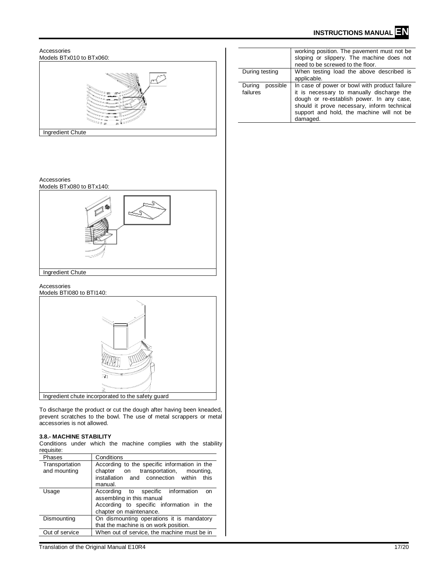

To discharge the product or cut the dough after having been kneaded, prevent scratches to the bowl. The use of metal scrappers or metal accessories is not allowed.

## **3.8.- MACHINE STABILITY**

Conditions under which the machine complies with the stability requisite:

| <b>Phases</b>                  | Conditions                                                                                                                                       |
|--------------------------------|--------------------------------------------------------------------------------------------------------------------------------------------------|
| Transportation<br>and mounting | According to the specific information in the<br>transportation, mounting,<br>chapter on<br>installation and connection within<br>this<br>manual. |
| Usage                          | According to specific information<br>on<br>assembling in this manual<br>According to specific information in the<br>chapter on maintenance.      |
| Dismounting                    | On dismounting operations it is mandatory<br>that the machine is on work position.                                                               |
| Out of service                 | When out of service, the machine must be in                                                                                                      |

Translation of the Original Manual E10R4 17/20

|                                | working position. The pavement must not be.<br>sloping or slippery. The machine does not<br>need to be screwed to the floor.                                                                                                                    |
|--------------------------------|-------------------------------------------------------------------------------------------------------------------------------------------------------------------------------------------------------------------------------------------------|
| During testing                 | When testing load the above described is<br>applicable.                                                                                                                                                                                         |
| possible<br>During<br>failures | In case of power or bowl with product failure<br>it is necessary to manually discharge the<br>dough or re-establish power. In any case,<br>should it prove necessary, inform technical<br>support and hold, the machine will not be<br>damaged. |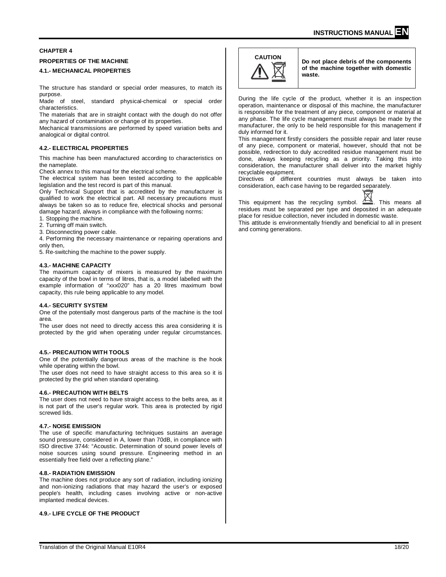# **CHAPTER 4**

# **PROPERTIES OF THE MACHINE**

## **4.1.- MECHANICAL PROPERTIES**

The structure has standard or special order measures, to match its purpose.

Made of steel, standard physical-chemical or special order characteristics.

The materials that are in straight contact with the dough do not offer any hazard of contamination or change of its properties.

Mechanical transmissions are performed by speed variation belts and analogical or digital control.

#### **4.2.- ELECTRICAL PROPERTIES**

This machine has been manufactured according to characteristics on the nameplate.

Check annex to this manual for the electrical scheme.

The electrical system has been tested according to the applicable legislation and the test record is part of this manual.

Only Technical Support that is accredited by the manufacturer is qualified to work the electrical part. All necessary precautions must always be taken so as to reduce fire, electrical shocks and personal damage hazard, always in compliance with the following norms:

1. Stopping the machine.

- 2. Turning off main switch.
- 3. Disconnecting power cable.

4. Performing the necessary maintenance or repairing operations and only then,

5. Re-switching the machine to the power supply.

#### **4.3.- MACHINE CAPACITY**

The maximum capacity of mixers is measured by the maximum capacity of the bowl in terms of litres, that is, a model labelled with the example information of "xxx020" has a 20 litres maximum bowl capacity, this rule being applicable to any model.

#### **4.4.- SECURITY SYSTEM**

One of the potentially most dangerous parts of the machine is the tool area.

The user does not need to directly access this area considering it is protected by the grid when operating under regular circumstances.

#### **4.5.- PRECAUTION WITH TOOLS**

One of the potentially dangerous areas of the machine is the hook while operating within the bowl.

The user does not need to have straight access to this area so it is protected by the grid when standard operating.

#### **4.6.- PRECAUTION WITH BELTS**

The user does not need to have straight access to the belts area, as it is not part of the user's regular work. This area is protected by rigid screwed lids.

#### **4.7.- NOISE EMISSION**

The use of specific manufacturing techniques sustains an average sound pressure, considered in A, lower than 70dB, in compliance with ISO directive 3744: "Acoustic. Determination of sound power levels of noise sources using sound pressure. Engineering method in an essentially free field over a reflecting plane."

#### **4.8.- RADIATION EMISSION**

The machine does not produce any sort of radiation, including ionizing and non-ionizing radiations that may hazard the user's or exposed people's health, including cases involving active or non-active implanted medical devices.

#### **4.9.- LIFE CYCLE OF THE PRODUCT**



**CAUTION Do not place debris of the components of the machine together with domestic waste.**

During the life cycle of the product, whether it is an inspection operation, maintenance or disposal of this machine, the manufacturer is responsible for the treatment of any piece, component or material at any phase. The life cycle management must always be made by the manufacturer, the only to be held responsible for this management if duly informed for it.

This management firstly considers the possible repair and later reuse of any piece, component or material, however, should that not be possible, redirection to duly accredited residue management must be done, always keeping recycling as a priority. Taking this into consideration, the manufacturer shall deliver into the market highly recyclable equipment.

Directives of different countries must always be taken into consideration, each case having to be regarded separately.



This equipment has the recycling symbol.  $\stackrel{\text{A--A}}{\longrightarrow}$ . This means all residues must be separated per type and deposited in an adequate place for residue collection, never included in domestic waste.

This attitude is environmentally friendly and beneficial to all in present and coming generations.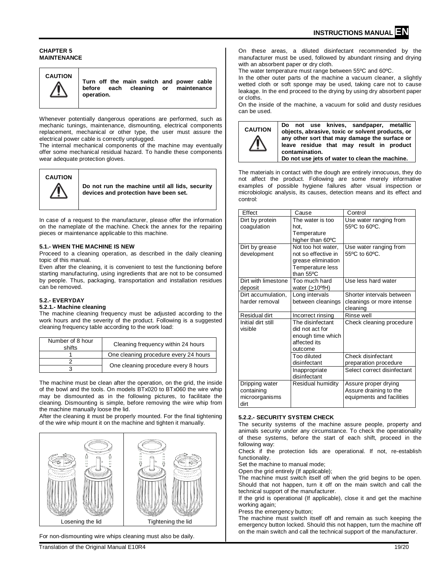#### **CHAPTER 5 MAINTENANCE**



**Turn off the main switch and power cable**  cleaning or maintenance **operation.**

Whenever potentially dangerous operations are performed, such as mechanic tunings, maintenance, dismounting, electrical components replacement, mechanical or other type, the user must assure the electrical power cable is correctly unplugged.

The internal mechanical components of the machine may eventually offer some mechanical residual hazard. To handle these components wear adequate protection gloves.



**Do not run the machine until all lids, security devices and protection have been set.** 

In case of a request to the manufacturer, please offer the information on the nameplate of the machine. Check the annex for the repairing pieces or maintenance applicable to this machine.

## **5.1.- WHEN THE MACHINE IS NEW**

Proceed to a cleaning operation, as described in the daily cleaning topic of this manual.

Even after the cleaning, it is convenient to test the functioning before starting manufacturing, using ingredients that are not to be consumed by people. Thus, packaging, transportation and installation residues can be removed.

# **5.2.- EVERYDAY**

#### **5.2.1.- Machine cleaning**

The machine cleaning frequency must be adjusted according to the work hours and the severity of the product. Following is a suggested cleaning frequency table according to the work load:

| Number of 8 hour<br>shifts | Cleaning frequency within 24 hours    |
|----------------------------|---------------------------------------|
|                            | One cleaning procedure every 24 hours |
|                            |                                       |
|                            | One cleaning procedure every 8 hours  |

The machine must be clean after the operation, on the grid, the inside of the bowl and the tools. On models BTx020 to BTx060 the wire whip may be dismounted as in the following pictures, to facilitate the cleaning. Dismounting is simple, before removing the wire whip from the machine manually loose the lid.

After the cleaning it must be properly mounted. For the final tightening of the wire whip mount it on the machine and tighten it manually.



For non-dismounting wire whips cleaning must also be daily.

On these areas, a diluted disinfectant recommended by the manufacturer must be used, followed by abundant rinsing and drying with an absorbent paper or dry cloth.

The water temperature must range between 55ºC and 60ºC.

In the other outer parts of the machine a vacuum cleaner, a slightly wetted cloth or soft sponge may be used, taking care not to cause leakage. In the end proceed to the drying by using dry absorbent paper or cloths.

On the inside of the machine, a vacuum for solid and dusty residues can be used.



**Do not use knives, sandpaper, metallic objects, abrasive, toxic or solvent products, or any other sort that may damage the surface or leave residue that may result in product contamination. Do not use jets of water to clean the machine.**

The materials in contact with the dough are entirely innocuous, they do not affect the product. Following are some merely informative examples of possible hygiene failures after visual inspection or microbiologic analysis, its causes, detection means and its effect and control:

| Effect                                                 | Cause                                                                                            | Control                                                                     |
|--------------------------------------------------------|--------------------------------------------------------------------------------------------------|-----------------------------------------------------------------------------|
| Dirt by protein<br>coagulation                         | The water is too<br>hot.<br>Temperature<br>higher than 60°C                                      | Use water ranging from<br>55°C to 60°C.                                     |
| Dirt by grease<br>development                          | Not too hot water.<br>not so effective in<br>grease elimination<br>Temperature less<br>than 55°C | Use water ranging from<br>55°C to 60°C.                                     |
| Dirt with limestone<br>deposit                         | Too much hard<br>water $(>10^{\circ}$ fH)                                                        | Use less hard water                                                         |
| Dirt accumulation.<br>harder removal                   | Long intervals<br>between cleanings                                                              | Shorter intervals between<br>cleanings or more intense<br>cleaning          |
| Residual dirt                                          | Incorrect rinsing                                                                                | Rinse well                                                                  |
| Initial dirt still<br>visible                          | The disinfectant<br>did not act for<br>enough time which<br>affected its<br>outcome              | Check cleaning procedure                                                    |
|                                                        | Too diluted<br>disinfectant                                                                      | Check disinfectant<br>preparation procedure                                 |
|                                                        | Inappropriate<br>disinfectant                                                                    | Select correct disinfectant                                                 |
| Dripping water<br>containing<br>microorganisms<br>dirt | Residual humidity                                                                                | Assure proper drying<br>Assure draining to the<br>equipments and facilities |

# **5.2.2.- SECURITY SYSTEM CHECK**

The security systems of the machine assure people, property and animals security under any circumstance. To check the operationality of these systems, before the start of each shift, proceed in the following way:

Check if the protection lids are operational. If not, re-establish functionality.

Set the machine to manual mode;

Open the grid entirely (If applicable);

The machine must switch itself off when the grid begins to be open. Should that not happen, turn it off on the main switch and call the technical support of the manufacturer.

If the grid is operational (If applicable), close it and get the machine working again;

Press the emergency button;

The machine must switch itself off and remain as such keeping the emergency button locked. Should this not happen, turn the machine off on the main switch and call the technical support of the manufacturer.